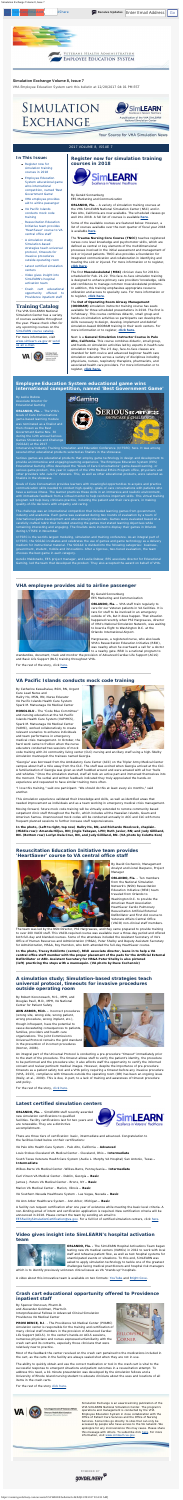<span id="page-0-9"></span>Simulation Exchange Volume 8, Issue 7

#### <span id="page-0-0"></span>**In This Issue:**

- [Register now for](#page-0-0) [simulation training](#page-0-0) [courses in 2018](#page-0-0)
- **[Employee Education](#page-0-1)** [System educational game](#page-0-1) [wins international](#page-0-1) [competition, named 'Best](#page-0-1) [Government Game'](#page-0-1)
- [VHA employee provides](#page-0-2) [aid to airline passenger](#page-0-2)
- [VA Pacific Islands](#page-0-3) conducts [mock code](#page-0-3)  training
- [Resuscitation Education](#page-0-4) I[nitiative team provides](#page-0-4) ['HeartSaver' course to VA](#page-0-4) [central office staff](#page-0-4)
- [A simulation study;](#page-0-5) [Simulation-based](#page-0-5) [strategies teach universal](#page-0-5) [protocol, timeouts for](#page-0-5) [invasive procedures](#page-0-5) [outside operating room](#page-0-5)
- [Latest certified simulation](#page-0-6) [centers](#page-0-6)
- [Video gives insight into](#page-0-7) [SimLEARN's hospital](#page-0-7) [activation team](#page-0-7)
- [Crash cart educational](#page-0-8) [opportunity offered to](#page-0-8) [Providence inpatient staff](#page-0-8)

## **Training Catalog**

The VHA SimLEARN National Simulation Center has a variety of courses available throughout the year. Please check often for any upcoming courses on the [SimLEARN course catalog](https://myees.lrn.va.gov/SimLEARN/Class%20Registration/Course%20Catalog.aspx).

For more information, visit [www.simlearn.va.gov](http://www.simlearn.va.gov/) or [send](mailto:VASimLEARNGeneralInformation@va.gov) [us an e-mail](mailto:VASimLEARNGeneralInformation@va.gov).



## **Register now for simulation training courses in 2018**



By Gerald Sonnenberg EES Marketing and Communication

**ORLANDO, Fla.** – A variety of simulation training courses at the VHA SimLEARN National Simulation Center (NSC) and in Palo Alto, California are now available. The scheduled classes go well into 2018. A full list of courses is available **[here](https://myees.lrn.va.gov/SimLEARN/Class%20Registration/Course%20Catalog.aspx)**.

Some of the available courses are featured below. However, a list of courses available over the next quarter of fiscal year 2018 is available **[here](https://www.simlearn.va.gov/SIMLEARN/docs/lib/2nd_Quarter_FY_18_Offerings.pdf)**.

> *Simulation Exchange* is an award-winning publication of the VHA SimLEARN National Simulation Center. The program's operations and management is conducted by the VHA Employee Education System in close collaboration with the Office of Patient Care Services and the Office of Nursing Services. Some links go directly to sites that can only be accessed by people who have access to the VA network. We apologize for any inconvenience this may cause. Please share this message with others. To subscribe click [here](https://public.govdelivery.com/accounts/USVHAEES/subscriber/new). For more information, visit [www.simlearn.va.gov](http://www.simlearn.va.gov/).

The **Trauma Nursing Core Course (TNCC)** teaches registered nurses core level knowledge and psychomotor skills, which are defined as central or key elements of the multidimensional processes involved in the initial assessment and management of sick or injured patients. TNCC also provides a foundation for integrated communication and collaboration in identifying and treating the sick or injured. For more information or to register, **click [here](https://myees.lrn.va.gov/SimLEARN/Class%20Registration/Course%20Categories.aspx?category=Trauma%20Nursing%20Core%20Course%20(TNCC))**.

The first **Musculoskeletal (MSK)** clinician class for 2018 is scheduled for Feb. 21-22. This face-to-face simulation training is designed to enhance primary care providers' knowledge, skills and confidence to manage common musculoskeletal problems. In addition, this training emphasizes appropriate resource utilization and access to specialty care. For more information or to register, **[click here](https://www.tms.va.gov/learning/user/deeplink_redirect.jsp?linkId=ITEM_DETAILS&componentID=33865&componentTypeID=VA&revisionDate=1499262300000)**.

#### The **Out of Operating Room Airway Management**

**(OOORAM)** simulation instructor training course has seats available for three scheduled presentations in 2018. The first is in February. This course combines didactic, small group and hands-on simulation activities so participants can develop the skills necessary to design, develop, implement and debrief simulation-based OOORAM training in their work centers. For more information or to register, **[click here.](https://myees.lrn.va.gov/SimLEARN/Class%20Registration/Course%20Categories.aspx?category=OOORAM)**

Next is a **General Simulation Instructor Course in Palo Alto, California.** This course combines didactic, small group, and hands-on simulation activities led by experts in health care simulation training. The 2.5 day, face-to-face classes are intended for both novice and advanced beginner health care simulation educators across a variety of disciplines including physicians, nurses, respiratory therapists, pharmacists, and associated health care providers. For more information or to register, **[click here.](https://www.tms.va.gov/learning/user/deeplink_redirect.jsp?linkId=ITEM_DETAILS&componentID=34574&componentTypeID=VA&revisionDate=1509136200000)**

## **Simulation Exchange Volume 8, Issue 7**

*VHA Employee Education System sent this bulletin at 12/28/2017 04:01 PM EST*

# SIMULATION EXCHANGE



### Your Source for VHA Simulation News

#### 2017 VOLUME 8, ISSUE 7

## <span id="page-0-1"></span>**Employee Education System educational game wins international competition, named 'Best Government Game'**

By Leslie Dubow Associate Director for Educational Gaming

**ORLANDO, Fla. –** The VHA's Goals of Care Conversations game-based learning module was nominated as a finalist and then chosen as the Best Government Game Nov. 30 during the 12th annual Serious Games Showcase and Challenge (SGS&C) at the 2017



Interservice/Industry Training Simulation and Education Conference (I/ITSEC) here. It was among several other educational products selected as finalists in the showcase.

Serious games are educational products that employ game technology in design and development to provide an immersive and engaging learning experience. The Employee Education System (EES) Educational Gaming office developed the "Goals of Care Conversations" game-based learning, or serious game product, this year in support of the VHA Medical Ethics Program office, physicians and other providers who care for Veterans. This, as well as other educational products, were selected as finalists in the showcase.

Goals of Care Conversation provides learners with meaningful opportunities to acquire and practice communication skills needed to conduct high-quality, goals-of-care conversations with patients who have a serious illness. The learner practices these skills in an immersive and realistic environment, with immediate feedback from a virtual mentor to help reinforce important skills. This virtual training program will help busy clinicians practice, including the patient and their care givers, in making quality-of-life decisions with empathy and caring.

The challenge was an international competition that included learning games from government, industry and academia. Each game was evaluated during two rounds of evaluation by a team of international game development and educational professionals. Games were evaluated based on a carefully crafted rubric that included ensuring the games met stated learning objectives while remaining interesting and engaging. The finalists were invited to display their games in Orlando during I/ITSEC in November.

I/ITSEC is the world's largest modeling, simulation and training conference. As an integral part of I/ITSEC, the SGS&C incubates and celebrates the use of games and game technology as a delivery medium for instructional material. The SGS&C is divided into the following categories: business, government, student, mobile and innovations. After a rigorous, two-tiered evaluation, the team chooses the best game in each category.

Aurelio Maldonado, EES project manager, and Leslie Dubow, EES associate director for Educational Gaming, led the team that developed the product. They also accepted the award on behalf of VHA.

## <span id="page-0-2"></span>**VHA employee provides aid to airline passenger**



By Gerald Sonnenberg EES Marketing and Communication

**ORLANDO, Fla. –** VHA staff train regularly to care for our Veteran patients in VA facilities. It is rare for staff to be involved in an emergency outside of VA, but it does happen. That situation happened recently when Phil Hargreaves, director of VHA's National Simulation Network, was waiting to board a flight to Washington D.C. at the Orlando International Airport.

Hargreaves, a registered nurse, who also leads VHA's Resuscitation Education Initiative (REdI), was nearby when he overheard a call for a doctor to a nearby gate. REdI is a national program to

standardize, document, track and monitor the provision of Advanced Cardiac Life Support (ACLS) and Basic Life Support (BLS) training throughout VHA.

For the rest of the story, click [here](https://www.simlearn.va.gov/SIMLEARN/FA_2018_01_VHA_employee_provides_aid_to_airline_passenger.asp).

## <span id="page-0-3"></span>**VA Pacific Islands conducts mock code training**

By Catherine Kawaihalau, BSN, RN, Urgent Care Lead Nurse and Hallry Ho, MSN, RN, Nurse Educator VA Pacific Islands Health Care System Spark M. Matsunaga VA Medical Center

**HONOLULU -** The "Code Blue Committee" and nursing education at the VA Pacific Islands Health Care System (VAPIHCS), Spark M. Matsunaga VA Medical Center (VAMC), worked collaboratively to create relevant scenarios to enhance individuals and team performance in emergency medical crisis management. In October, the hard work came to fruition when the nurse educators conducted two sessions of mock



code training with 24 community living center (CLC) nursing and ancillary staff using a high-fidelity simulation mannequin the trainees named Georgia.

"Georgia" was borrowed from the Ambulatory Care Center (ACC) on the Tripler Army Medical Center campus about half a mile away from the CLC. The staff was excited when Georgia arrived at the CLC. A familiarization of Georgia was given as staff huddled around and were amazed with all her "bells and whistles." Once the simulation started, staff all took an active part and immersed themselves into the moment. The verbal and written feedback indicated they truly appreciated the hands-on experience and requested to have similar training more often.

"I love this training," said one participant. "We should do this at least every six months," said another.

This simulation experience validated their knowledge and skills, as well as identified areas that needed improvement as individuals and as a team working in emergency medical crisis management.

Moving forward, future mock code training will be virtually extended to remote community based outpatient clinic staff throughout the Pacific, which includes all the Hawaiian Islands, Guam and American Samoa. Unannounced mock codes will be conducted annually in ACC and CLC with more frequent planned sessions to further increase staff responsiveness.

**In the photo, (Left to right, top row) Hallry Ho, RN, and Richardo Woolcock, chaplain. (Middle row): Amanda Hiljus, RN; Jingle Tabayan, LPN; Ruth Javier, RN; and Judy Gilliland, RN. (Bottom row) Lorlyn Dela Cruz, RN, and Judy Gilliland, RN. (VA photo by Colette Kon)**

## <span id="page-0-4"></span>**Resuscitation Education Initiative team provides 'HeartSaver' course to VA central office staff**



By David Cochennic, Management Analyst and Lionel Dacpano, Project Manager

**ORLANDO, Fla.** – Ten members from the National Simulation Network's (NSN) Resuscitation Education Initiative (REdI) team traveled from Orlando to Washington D.C. to provide the American Heart Association HeartSaver Cardio Pulmonary Resuscitation Artificial External Defibrillator and First Aid course to Veterans Affairs Central Office (VACO) non-clinical staff members.

The team was led by the NSN Director, Phil Hargreaves, and they came prepared to provide training to over 200 VACO staff. This VACO-required course was available over a three-day period and offered both full-day and blended courses. Some of the attendees included the Assistant Secretary of VA's Office of Human Resources and Administration (HR&A), Peter Shelby and Deputy Assistant Secretary for Administration, HR&A, Roy Hurndon, who both attended the full-day HeartSaver course.

**In the photo, Tracey Robilotto (center), REdI associate director, leans in to help a VA central office staff member with the proper placement of the pads for the Artificial External Defibrillator or AED. Assistant Secretary for HR&A Peter Shelby is also pictured (left) practicing the steps with a mannequin. (VA photo by Dave Cochennic)**

## **A simulation study; Simulation-based strategies teach universal protocol, timeouts for invasive procedures outside operating room**

<span id="page-0-5"></span>By Robert Kononowech, M.S., MPH, and Douglas Paull, M.D., MPH, VA National Center for Patient Safety

**ANN ARBOR, Mich. -** Incorrect procedures (wrong site, wrong side, wrong patient, wrong procedure, wrong implant, etc.), though infrequent, have the potential to cause devastating consequences to patients, families, providers and health care organizations. The Joint Commission's Universal Protocol remains the gold standard in the prevention of incorrect procedures (Norton, 2008).



An integral part of the Universal Protocol is conducting a pre-procedure "timeout" immediately prior to the start of the procedure. The timeout allows staff to verify the patient's identity, the procedure to be performed and the procedure site; it also affords staff the opportunity to certify the informed consent and review pertinent medical images. However, despite the importance of pre-procedure timeouts as a patient safety tool and a VHA policy requiring a timeout before any invasive procedure (VHA, 2013), compliance with timeouts outside the operating room (OR) has been an ongoing issue (Neily, et al., 2009). This is due, in part, to a lack of training and awareness of timeout procedure and policy.

For the rest of the story, [click here](https://www.simlearn.va.gov/SIMLEARN/FA_2018_02_Simulation_study_Simulation-based_strategies_teach_universal_protocol_timeouts_for_invasive_procedures_outside_operating_room.asp).

## <span id="page-0-6"></span>**Latest certified simulation centers**

**ORLANDO, Fla. –** SimLEARN staff recently awarded new simulation certifications to qualified facilities. Facility certifications last for two years and are renewable. They are a distinctive accomplishment.



There are three tiers of certification: basic, intermediate and advanced. Congratulation to the facilities listed below on their certifications:

VA Palo Alto Health Care System - Palo Alto, California – **Advanced**

Louis Stokes Cleveland VA Medical Center - Cleveland, Ohio **– Intermediate**

South Texas Veterans Health Care System (Audie L. Murphy VA Hospital) San Antonio, Texas **– Intermediate**

Wilkes-Barre VA Medical Center -Wilkes-Barre, Pennsylvania **– Intermediate**

Carl Vinson VA Medical Center - Dublin, Georgia **– Basic**

James J. Peters VA Medical Center - Bronx, NY **– Basic**

Marion VA Medical Center - Marion, Illinois **– Basic**

VA Southern Nevada Healthcare System - Las Vegas, Nevada **– Basic**

VA Ann Arbor Healthcare System - Ann Arbor, Michigan **– Basic**

A facility can request certification after one year of existence while meeting the basic level criteria. A non-binding email of intent and certification application is required. New certification criteria will be announced in 2018. Please contact the team by sending an email to

[EESFacilitySimulationCertification@va.gov](mailto:EESFacilitySimulationCertification@va.gov). For a full list of certified simulation centers, click [here.](https://www.simlearn.va.gov/SIMLEARN/Certified_Simulation_Centers_SimLEARN.asp)

# **Video gives insight into SimLEARN's hospital activation team**

<span id="page-0-7"></span>

**ORLANDO, Fla. -** The SimLEARN Hospital Activations Team began testing new VA medical centers (VAMCs) in 2012 to work with local staff and rehearse patient flow, as well as test hospital systems for unanticipated events or situations. To this end, SimLEARN was asked to apply simulation technology to tackle one of the greatest challenges facing medical practitioners and hospital risk managers

which is to identify previously unknown clinical issues as VA "stands up" hospitals.

A video about this innovative team is available on two formats: [YouTube](https://youtu.be/9_lHF-W65DA) and [Bright Cove](https://bcove.video/2hP48mg).

## <span id="page-0-8"></span>**Crash cart educational opportunity offered to Providence inpatient staff**

By Spencer Donovan, Pharm.D. and Alexander Goldman, Pharm.D. Interprofessional Fellows in Advanced Clinical Simulation Providence VA Medical Center

**PROVIDENCE, R.I**. - The Providence VA Medical Center (PVAMC) simulation center is responsible for the training and certification of many clinical staff members in the provision of Advanced Cardiac Life Support (ACLS). In the center's hands-on ACLS sessions, numerous physicians and nurses expressed unfamiliarity with the crash cart and its contents, especially those clinicians that were relatively new to practice.



Most of the feedback the center received on the crash cart pertained to the medications included in the cart, as the carts in the facility are always sealed shut when they are not in use.

The ability to quickly obtain and use the correct medication or tool in the crash cart is vital to the successful response to emergent situations and patient outcomes in a resuscitation attempt. To address this need, a 10-minute presentation was developed by the simulation fellows and a University of Rhode Island nursing student to educate clinicians about the uses and locations of all items in the crash carts.

For the rest of the story [click here.](https://www.simlearn.va.gov/SIMLEARN/FA_2018_03_Crash_cart_educational_opportunity_offered_to_Providence_inpatient_staff.asp)



**U.S. Department of Veterans Affairs** Veterans Health Administration oyee Education System